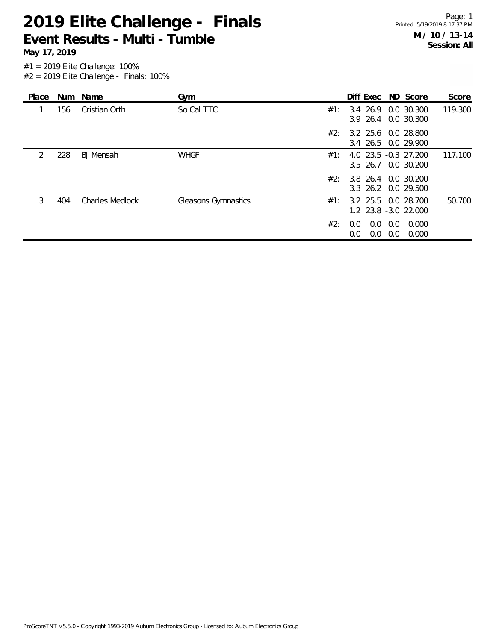**May 17, 2019**

|               |     | Place Num Name         | Gym                 |     | Diff Exec ND Score                          |                        |                | Score   |
|---------------|-----|------------------------|---------------------|-----|---------------------------------------------|------------------------|----------------|---------|
| 1             | 156 | Cristian Orth          | So Cal TTC          | #1: | 3.4 26.9 0.0 30.300<br>3.9 26.4 0.0 30.300  |                        |                | 119.300 |
|               |     |                        |                     | #2: | 3.2 25.6 0.0 28.800<br>3.4 26.5 0.0 29.900  |                        |                |         |
| $\mathcal{P}$ | 228 | <b>BJ</b> Mensah       | <b>WHGF</b>         | #1: | 4.0 23.5 -0.3 27.200<br>3.5 26.7 0.0 30.200 |                        |                | 117.100 |
|               |     |                        |                     | #2: | 3.8 26.4 0.0 30.200<br>3.3 26.2 0.0 29.500  |                        |                |         |
| 3             | 404 | <b>Charles Medlock</b> | Gleasons Gymnastics | #1: | 3.2 25.5 0.0 28.700<br>1.2 23.8 -3.0 22.000 |                        |                | 50.700  |
|               |     |                        |                     | #2: | 0.0<br>0.0<br>$0.0\,$                       | 0.0<br>$0.0 \quad 0.0$ | 0.000<br>0.000 |         |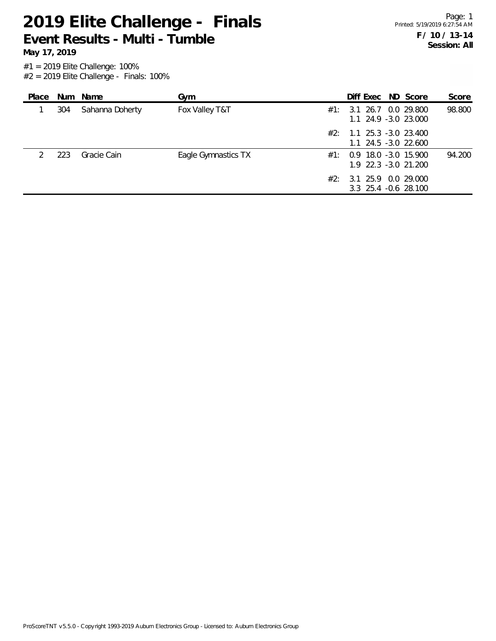**May 17, 2019**

| Place |     | Num Name        | Gym                 |     | Diff Exec ND Score                                   |  | Score  |
|-------|-----|-----------------|---------------------|-----|------------------------------------------------------|--|--------|
|       | 304 | Sahanna Doherty | Fox Valley T&T      |     | $\#1$ : 3.1 26.7 0.0 29.800<br>1.1 24.9 -3.0 23.000  |  | 98.800 |
|       |     |                 |                     |     | $#2: 1.1 25.3 -3.0 23.400$<br>$1.1$ 24.5 -3.0 22.600 |  |        |
|       | 223 | Gracie Cain     | Eagle Gymnastics TX | #1: | 0.9 18.0 -3.0 15.900<br>1.9 22.3 -3.0 21.200         |  | 94.200 |
|       |     |                 |                     |     | $\#2$ : 3.1 25.9 0.0 29.000<br>3.3 25.4 -0.6 28.100  |  |        |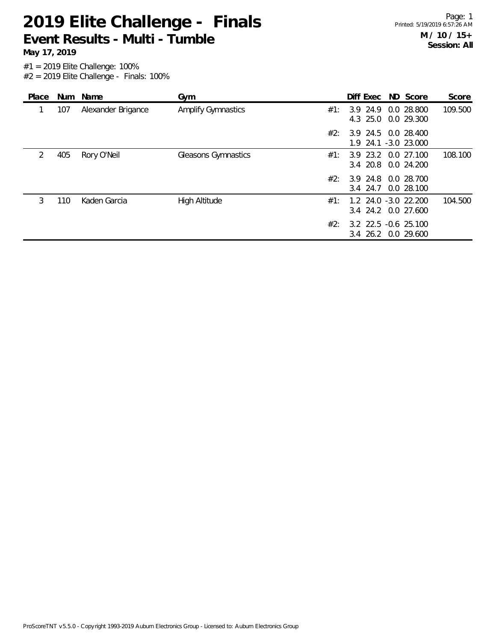**May 17, 2019**

| Place |     | Num Name           | Gym                       |     |          | Diff Exec ND Score                          | Score   |
|-------|-----|--------------------|---------------------------|-----|----------|---------------------------------------------|---------|
|       | 107 | Alexander Brigance | <b>Amplify Gymnastics</b> | #1: | 3.9 24.9 | 0.0 28.800<br>4.3 25.0 0.0 29.300           | 109.500 |
|       |     |                    |                           | #2: |          | 3.9 24.5 0.0 28.400<br>1.9 24.1 -3.0 23.000 |         |
| 2     | 405 | Rory O'Neil        | Gleasons Gymnastics       | #1: |          | 3.9 23.2 0.0 27.100<br>3.4 20.8 0.0 24.200  | 108.100 |
|       |     |                    |                           | #2: | 3.4 24.7 | 3.9 24.8 0.0 28.700<br>0.0 28.100           |         |
| 3     | 110 | Kaden Garcia       | <b>High Altitude</b>      | #1: |          | 1.2 24.0 -3.0 22.200<br>3.4 24.2 0.0 27.600 | 104.500 |
|       |     |                    |                           | #2: |          | 3.2 22.5 -0.6 25.100<br>3.4 26.2 0.0 29.600 |         |